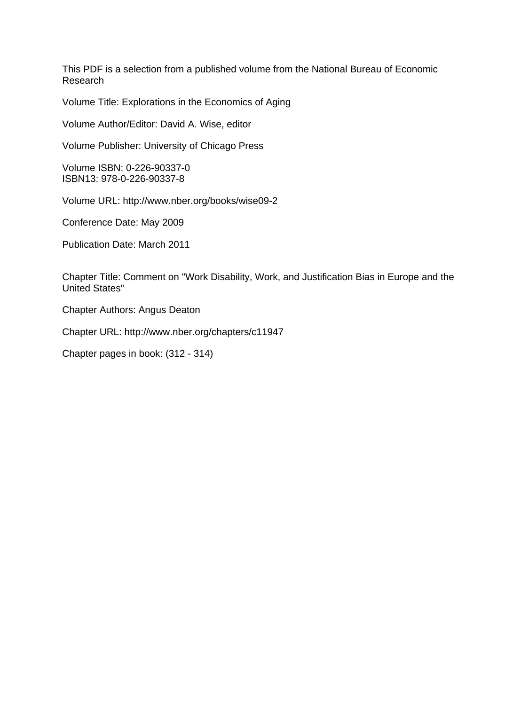This PDF is a selection from a published volume from the National Bureau of Economic Research

Volume Title: Explorations in the Economics of Aging

Volume Author/Editor: David A. Wise, editor

Volume Publisher: University of Chicago Press

Volume ISBN: 0-226-90337-0 ISBN13: 978-0-226-90337-8

Volume URL: http://www.nber.org/books/wise09-2

Conference Date: May 2009

Publication Date: March 2011

Chapter Title: Comment on "Work Disability, Work, and Justification Bias in Europe and the United States"

Chapter Authors: Angus Deaton

Chapter URL: http://www.nber.org/chapters/c11947

Chapter pages in book: (312 - 314)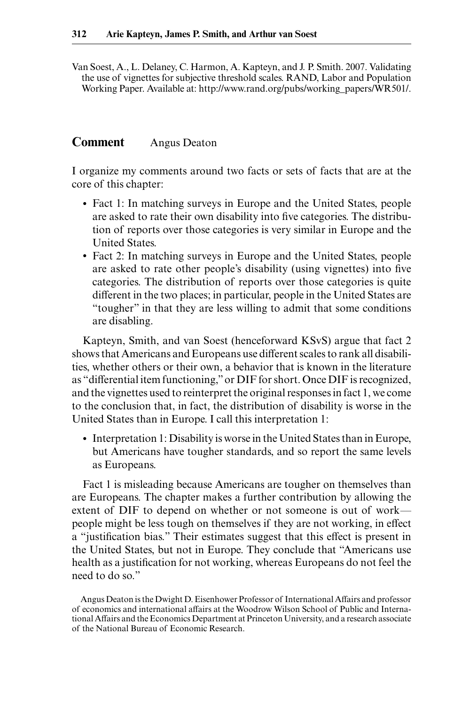Van Soest, A., L. Delaney, C. Harmon, A. Kapteyn, and J. P. Smith. 2007. Validating the use of vignettes for subjective threshold scales. RAND, Labor and Population Working Paper. Available at: http://www.rand.org/pubs/working\_papers/WR501/.

## **Comment** Angus Deaton

I organize my comments around two facts or sets of facts that are at the core of this chapter:

- Fact 1: In matching surveys in Europe and the United States, people are asked to rate their own disability into five categories. The distribution of reports over those categories is very similar in Europe and the United States.
- Fact 2: In matching surveys in Europe and the United States, people are asked to rate other people's disability (using vignettes) into five categories. The distribution of reports over those categories is quite different in the two places; in particular, people in the United States are "tougher" in that they are less willing to admit that some conditions are disabling.

Kapteyn, Smith, and van Soest (henceforward KSvS) argue that fact 2 shows that Americans and Europeans use different scales to rank all disabilities, whether others or their own, a behavior that is known in the literature as "differential item functioning," or DIF for short. Once DIF is recognized, and the vignettes used to reinterpret the original responses in fact 1, we come to the conclusion that, in fact, the distribution of disability is worse in the United States than in Europe. I call this interpretation 1:

• Interpretation 1: Disability is worse in the United States than in Europe, but Americans have tougher standards, and so report the same levels as Europeans.

Fact 1 is misleading because Americans are tougher on themselves than are Europeans. The chapter makes a further contribution by allowing the extent of DIF to depend on whether or not someone is out of work people might be less tough on themselves if they are not working, in effect a "justification bias." Their estimates suggest that this effect is present in the United States, but not in Europe. They conclude that "Americans use health as a justification for not working, whereas Europeans do not feel the need to do so."

Angus Deaton is the Dwight D. Eisenhower Professor of International Affairs and professor of economics and international affairs at the Woodrow Wilson School of Public and International Affairs and the Economics Department at Princeton University, and a research associate of the National Bureau of Economic Research.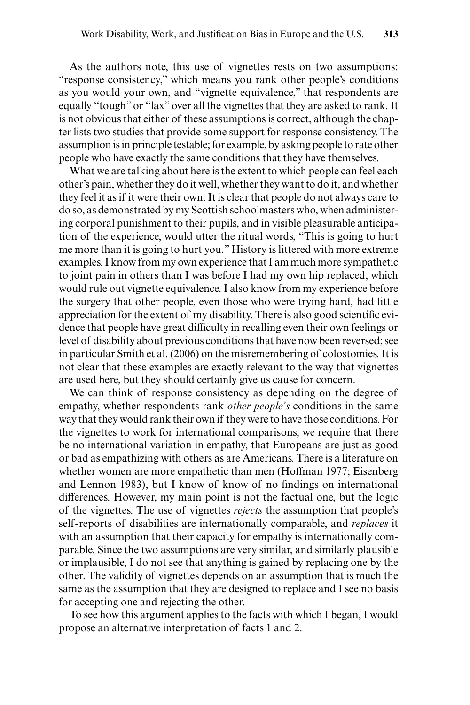As the authors note, this use of vignettes rests on two assumptions: "response consistency," which means you rank other people's conditions as you would your own, and "vignette equivalence," that respondents are equally "tough" or "lax" over all the vignettes that they are asked to rank. It is not obvious that either of these assumptions is correct, although the chapter lists two studies that provide some support for response consistency. The assumption is in principle testable; for example, by asking people to rate other people who have exactly the same conditions that they have themselves.

What we are talking about here is the extent to which people can feel each other's pain, whether they do it well, whether they want to do it, and whether they feel it as if it were their own. It is clear that people do not always care to do so, as demonstrated by my Scottish schoolmasters who, when administering corporal punishment to their pupils, and in visible pleasurable anticipation of the experience, would utter the ritual words, "This is going to hurt me more than it is going to hurt you." History is littered with more extreme examples. I know from my own experience that I am much more sympathetic to joint pain in others than I was before I had my own hip replaced, which would rule out vignette equivalence. I also know from my experience before the surgery that other people, even those who were trying hard, had little appreciation for the extent of my disability. There is also good scientific evidence that people have great difficulty in recalling even their own feelings or level of disability about previous conditions that have now been reversed; see in particular Smith et al. (2006) on the misremembering of colostomies. It is not clear that these examples are exactly relevant to the way that vignettes are used here, but they should certainly give us cause for concern.

We can think of response consistency as depending on the degree of empathy, whether respondents rank *other people's* conditions in the same way that they would rank their own if they were to have those conditions. For the vignettes to work for international comparisons, we require that there be no international variation in empathy, that Europeans are just as good or bad as empathizing with others as are Americans. There is a literature on whether women are more empathetic than men (Hoffman 1977; Eisenberg and Lennon 1983), but I know of know of no findings on international differences. However, my main point is not the factual one, but the logic of the vignettes. The use of vignettes *rejects* the assumption that people's self- reports of disabilities are internationally comparable, and *replaces* it with an assumption that their capacity for empathy is internationally comparable. Since the two assumptions are very similar, and similarly plausible or implausible, I do not see that anything is gained by replacing one by the other. The validity of vignettes depends on an assumption that is much the same as the assumption that they are designed to replace and I see no basis for accepting one and rejecting the other.

To see how this argument applies to the facts with which I began, I would propose an alternative interpretation of facts 1 and 2.